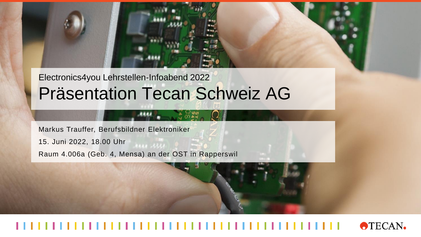Electronics4you Lehrstellen-Infoabend 2022 Präsentation Tecan Schweiz AG

Markus Trauffer, Berufsbildner Elektroniker

15. Juni 2022, 18.00 Uhr

Raum 4.006a (Geb. 4, Mensa) an der OST in Rapperswil

## **OTECAN.**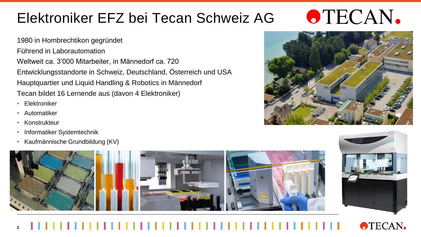1980 in Hombrechtikon gegründet Führend in Laborautomation Weltweit ca. 3'000 Mitarbeiter, in Männedorf ca. 720 Entwicklungsstandorte in Schweiz, Deutschland, Österreich und USA Hauptquartier und Liquid Handling & Robotics in Männedorf Tecan bildet 16 Lernende aus (davon 4 Elektroniker)

- Elektroniker
- Automatiker
- Konstrukteur
- Informatiker Systemtechnik
- Kaufmännische Grundbildung (KV)





**OTECAN.** 



#### **OTECAN. 2**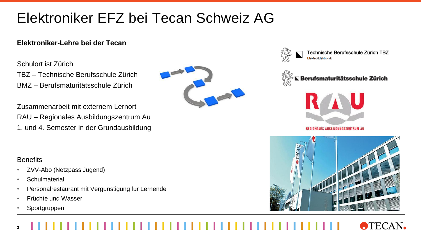### **Elektroniker-Lehre bei der Tecan**

#### Schulort ist Zürich

TBZ – Technische Berufsschule Zürich BMZ – Berufsmaturitätsschule Zürich

Zusammenarbeit mit externem Lernort RAU – Regionales Ausbildungszentrum Au 1. und 4. Semester in der Grundausbildung





Technische Berufsschule Zürich TBZ Elektro/Elektronil





**REGIONALES AUSBILDUNGSZENTRUM AU** 



#### **Benefits**

- ZVV-Abo (Netzpass Jugend)
- Schulmaterial
- Personalrestaurant mit Vergünstigung für Lernende
- Früchte und Wasser
- Sportgruppen

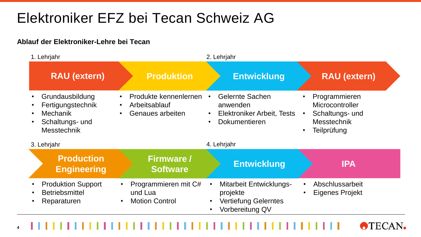### **Ablauf der Elektroniker-Lehre bei Tecan**

**4**

| 1. Lehrjahr                                                                                                                             |                                                                       | 2. Lehrjahr                                                                                                                     |                                                                                          |
|-----------------------------------------------------------------------------------------------------------------------------------------|-----------------------------------------------------------------------|---------------------------------------------------------------------------------------------------------------------------------|------------------------------------------------------------------------------------------|
| <b>RAU (extern)</b>                                                                                                                     | <b>Produktion</b>                                                     | <b>Entwicklung</b>                                                                                                              | <b>RAU (extern)</b>                                                                      |
| Grundausbildung<br>$\bullet$<br>Fertigungstechnik<br><b>Mechanik</b><br>$\bullet$<br>Schaltungs- und<br>$\bullet$<br><b>Messtechnik</b> | Produkte kennenlernen<br>Arbeitsablauf<br>Genaues arbeiten            | <b>Gelernte Sachen</b><br>$\bullet$<br>anwenden<br>Elektroniker Arbeit, Tests<br>$\bullet$<br><b>Dokumentieren</b><br>$\bullet$ | Programmieren<br>Microcontroller<br>Schaltungs- und<br><b>Messtechnik</b><br>Teilprüfung |
| 3. Lehrjahr                                                                                                                             |                                                                       | 4. Lehrjahr                                                                                                                     |                                                                                          |
| <b>Production</b><br><b>Engineering</b>                                                                                                 | <b>Firmware /</b><br><b>Software</b>                                  | <b>Entwicklung</b>                                                                                                              | <b>IPA</b>                                                                               |
| <b>Produktion Support</b><br>$\bullet$<br><b>Betriebsmittel</b><br>$\bullet$<br>Reparaturen                                             | Programmieren mit C#<br>und Lua<br><b>Motion Control</b><br>$\bullet$ | <b>Mitarbeit Entwicklungs-</b><br>projekte<br><b>Vertiefung Gelerntes</b><br>Vorbereitung QV                                    | Abschlussarbeit<br>$\bullet$<br><b>Eigenes Projekt</b><br>$\bullet$                      |

**OTECAN.**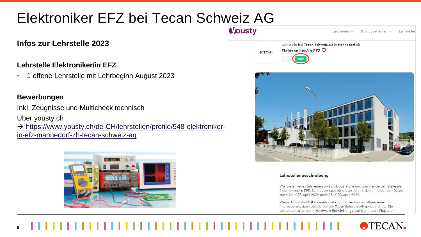## **Infos zur Lehrstelle 2023**

### **Lehrstelle Elektroniker/in EFZ**

• 1 offene Lehrstelle mit Lehrbeginn August 2023

#### **Bewerbungen**

Inkl. Zeugnisse und Multicheck technisch

Über yousty.ch

→ [https://www.yousty.ch/de-CH/lehrstellen/profile/548-elektroniker](https://www.yousty.ch/de-CH/lehrstellen/profile/548-elektroniker-in-efz-mannedorf-zh-tecan-schweiz-ag)in-efz-mannedorf-zh-tecan-schweiz-ag





Elektroniker/in EFZ. Schnuppertage für dieses Jahr finden an folgenden Daten statt: 26. / 27. April 2022 oder 28. / 29. April 2022.

Wenn dich Robotik (Laborautomation) und Technik im Allgemeinen interessieren, dann bist du bei der Tecan Schweiz AG genau richtig. Die Lernenden arbeiten in Hardware-Entwicklungsteams an neuen Pippetier-

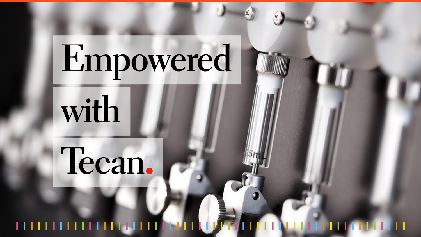# Empowered

with

# Tecan.

##